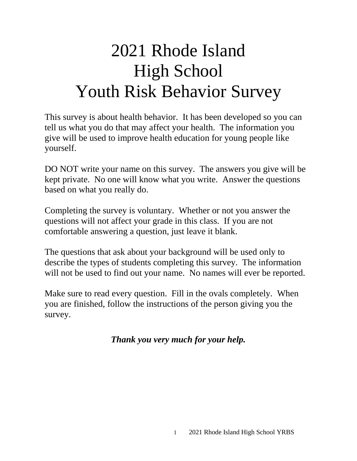# 2021 Rhode Island High School Youth Risk Behavior Survey

This survey is about health behavior. It has been developed so you can tell us what you do that may affect your health. The information you give will be used to improve health education for young people like yourself.

DO NOT write your name on this survey. The answers you give will be kept private. No one will know what you write. Answer the questions based on what you really do.

Completing the survey is voluntary. Whether or not you answer the questions will not affect your grade in this class. If you are not comfortable answering a question, just leave it blank.

The questions that ask about your background will be used only to describe the types of students completing this survey. The information will not be used to find out your name. No names will ever be reported.

Make sure to read every question. Fill in the ovals completely. When you are finished, follow the instructions of the person giving you the survey.

*Thank you very much for your help.*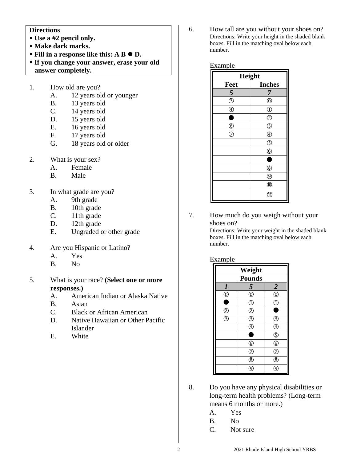#### **Directions**

- **Use a #2 pencil only.**
- **Make dark marks.**
- Fill in a response like this: A B  $\bullet$  D.
- **If you change your answer, erase your old answer completely.**
- 1. How old are you?
	- A. 12 years old or younger
	- B. 13 years old
	- C. 14 years old
	- D. 15 years old
	- E. 16 years old
	- F. 17 years old
	- G. 18 years old or older
- 2. What is your sex?
	- A. Female
	- B. Male
- 3. In what grade are you?
	- A. 9th grade
	- B. 10th grade
	- C. 11th grade
	- D. 12th grade
	- E. Ungraded or other grade
- 4. Are you Hispanic or Latino?
	- A. Yes
	- B. No
- 5. What is your race? **(Select one or more responses.)**
	- A. American Indian or Alaska Native
	- B. Asian
	- C. Black or African American
	- D. Native Hawaiian or Other Pacific Islander
	- E. White

6. How tall are you without your shoes on? Directions: Write your height in the shaded blank boxes. Fill in the matching oval below each number.

Example

| Height                        |                        |  |
|-------------------------------|------------------------|--|
| Feet                          | <b>Inches</b>          |  |
| $\overline{\mathbf{5}}$       | 7                      |  |
| $\overline{\circledS}$        | $^{\circledR}$         |  |
| $\circledA$                   | $\circled{0}$          |  |
| D                             | $^{\circledR}$         |  |
| $\frac{\circledR}{\circledR}$ | $\overline{\circledS}$ |  |
|                               | $^{\circledR}$         |  |
|                               | $\circledS$            |  |
|                               | $\circledS$            |  |
|                               | C                      |  |
|                               | $^{\circledR}$         |  |
|                               | $^{\circledR}$         |  |
|                               | $^{\circledR}$         |  |
|                               | Gi                     |  |

7. How much do you weigh without your shoes on?

> Directions: Write your weight in the shaded blank boxes. Fill in the matching oval below each number.

#### Example

| Weight           |                                                                     |                          |
|------------------|---------------------------------------------------------------------|--------------------------|
| <b>Pounds</b>    |                                                                     |                          |
| $\boldsymbol{l}$ | 5                                                                   | $\overline{2}$           |
| $^{\circledR}$   | $^{\circledR}$                                                      | $\overline{6}$           |
| ٠                | $\overline{\mathbb{O}}$                                             | $\overline{\mathbb{C}}$  |
| $\overline{2}$   | $\overline{O}$                                                      |                          |
| 3                | $\frac{\textcircled{\scriptsize{3}}}{\textcircled{\scriptsize{1}}}$ | $\overline{a}$           |
|                  |                                                                     | $\bigcirc$               |
|                  | E                                                                   | $\overline{\mathbb{G}}$  |
|                  | $\circledcirc$                                                      | $\overline{6}$           |
|                  | $\overline{\circ}$                                                  | $\overline{\mathcal{C}}$ |
|                  | $^{\circledR}$                                                      | ®                        |
|                  | 9                                                                   |                          |

- 8. Do you have any physical disabilities or long-term health problems? (Long-term means 6 months or more.)
	- A. Yes
	- B. No
	- C. Not sure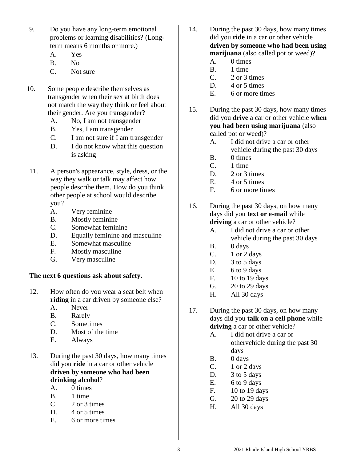- 9. Do you have any long-term emotional problems or learning disabilities? (Longterm means 6 months or more.)
	- A. Yes
	- B. No
	- C. Not sure
- 10. Some people describe themselves as transgender when their sex at birth does not match the way they think or feel about their gender. Are you transgender?
	- A. No, I am not transgender
	- B. Yes, I am transgender
	- C. I am not sure if I am transgender
	- D. I do not know what this question is asking
- 11. A person's appearance, style, dress, or the way they walk or talk may affect how people describe them. How do you think other people at school would describe you?
	- A. Very feminine
	- B. Mostly feminine
	- C. Somewhat feminine
	- D. Equally feminine and masculine
	- E. Somewhat masculine
	- F. Mostly masculine
	- G. Very masculine

#### **The next 6 questions ask about safety.**

- 12. How often do you wear a seat belt when **riding** in a car driven by someone else?
	- A. Never
	- B. Rarely
	- C. Sometimes
	- D. Most of the time
	- E. Always
- 13. During the past 30 days, how many times did you **ride** in a car or other vehicle **driven by someone who had been drinking alcohol**?
	- A. 0 times
	- B. 1 time
	- $C. 2$  or 3 times
	- D. 4 or 5 times
	- E. 6 or more times
- 14. During the past 30 days, how many times did you **ride** in a car or other vehicle **driven by someone who had been using marijuana** (also called pot or weed)?
	- A. 0 times
	- B. 1 time
	- C. 2 or 3 times
	- D. 4 or 5 times
	- E. 6 or more times
- 15. During the past 30 days, how many times did you **drive** a car or other vehicle **when you had been using marijuana** (also called pot or weed)?
	- A. I did not drive a car or other vehicle during the past 30 days
	- B. 0 times
	- C. 1 time
	- D. 2 or 3 times
	- E. 4 or 5 times
	- F. 6 or more times
- 16. During the past 30 days, on how many days did you **text or e-mail** while **driving** a car or other vehicle?
	- A. I did not drive a car or other vehicle during the past 30 days
	- B. 0 days
	- $C.$  1 or 2 days
	- D. 3 to 5 days
	- E.  $6 to 9 days$
	- F. 10 to 19 days
	- G. 20 to 29 days
	- H. All 30 days
- 17. During the past 30 days, on how many days did you **talk on a cell phone** while **driving** a car or other vehicle?
	- A. I did not drive a car or othervehicle during the past 30 days
	- B. 0 days
	- C.  $1$  or  $2$  days
	- D. 3 to 5 days
	- E.  $6 to 9 days$
	- F. 10 to 19 days
	- G. 20 to 29 days
	- H. All 30 days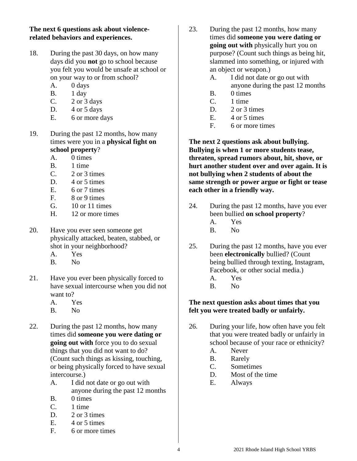## **The next 6 questions ask about violencerelated behaviors and experiences.**

- 18. During the past 30 days, on how many days did you **not** go to school because you felt you would be unsafe at school or on your way to or from school?
	- A. 0 days
	- B. 1 day
	- C.  $2$  or  $3$  days
	- D.  $4$  or  $5$  days
	- E. 6 or more days
- 19. During the past 12 months, how many times were you in a **physical fight on school property**?
	- A. 0 times
	- B. 1 time
	- $C. 2$  or 3 times
	- D. 4 or 5 times
	- E. 6 or 7 times
	- F. 8 or 9 times
	- G. 10 or 11 times
	- H. 12 or more times
- 20. Have you ever seen someone get physically attacked, beaten, stabbed, or shot in your neighborhood?
	- A. Yes
	- B. No
- 21. Have you ever been physically forced to have sexual intercourse when you did not want to?
	- A. Yes
	- B. No
- 22. During the past 12 months, how many times did **someone you were dating or going out with** force you to do sexual things that you did not want to do? (Count such things as kissing, touching, or being physically forced to have sexual intercourse.)
	- A. I did not date or go out with anyone during the past 12 months
	- B. 0 times
	- C. 1 time
	- D. 2 or 3 times
	- E. 4 or 5 times
	- F. 6 or more times
- 23. During the past 12 months, how many times did **someone you were dating or going out with** physically hurt you on purpose? (Count such things as being hit, slammed into something, or injured with an object or weapon.)
	- A. I did not date or go out with
	- anyone during the past 12 months
	- B. 0 times
	- C. 1 time
	- D. 2 or 3 times
	- E. 4 or 5 times
	- F. 6 or more times

**The next 2 questions ask about bullying. Bullying is when 1 or more students tease, threaten, spread rumors about, hit, shove, or hurt another student over and over again. It is not bullying when 2 students of about the same strength or power argue or fight or tease each other in a friendly way.**

- 24. During the past 12 months, have you ever been bullied **on school property**?
	- A. Yes
	- B. No
- 25. During the past 12 months, have you ever been **electronically** bullied? (Count being bullied through texting, Instagram, Facebook, or other social media.)
	- A. Yes
	- B. No

## **The next question asks about times that you felt you were treated badly or unfairly.**

- 26. During your life, how often have you felt that you were treated badly or unfairly in school because of your race or ethnicity?
	- A. Never
	- B. Rarely
	- C. Sometimes
	- D. Most of the time
	- E. Always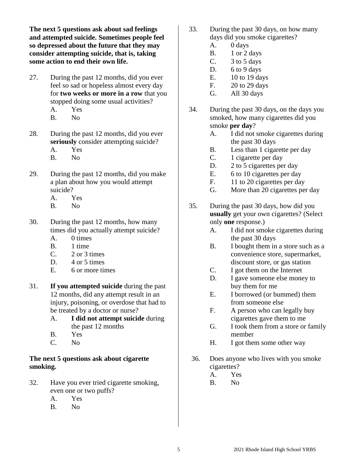**The next 5 questions ask about sad feelings and attempted suicide. Sometimes people feel so depressed about the future that they may consider attempting suicide, that is, taking some action to end their own life.**

- 27. During the past 12 months, did you ever feel so sad or hopeless almost every day for **two weeks or more in a row** that you stopped doing some usual activities? A. Yes
	- B. No
- 28. During the past 12 months, did you ever **seriously** consider attempting suicide? A. Yes
	- B. No
- 29. During the past 12 months, did you make a plan about how you would attempt suicide?
	- A. Yes
	- B. No
- 30. During the past 12 months, how many times did you actually attempt suicide?
	- A. 0 times
	- B. 1 time
	- $C. 2$  or 3 times
	- D. 4 or 5 times
	- E. 6 or more times
- 31. **If you attempted suicide** during the past 12 months, did any attempt result in an injury, poisoning, or overdose that had to be treated by a doctor or nurse?
	- A. **I did not attempt suicide** during the past 12 months
	- B. Yes
	- C. No

## **The next 5 questions ask about cigarette smoking.**

- 32. Have you ever tried cigarette smoking, even one or two puffs?
	- A. Yes
	- B. No
- 33. During the past 30 days, on how many days did you smoke cigarettes?
	- A. 0 days
	- $B.$  1 or 2 days
	- C.  $3 \text{ to } 5 \text{ days}$
	- D. 6 to 9 days
	- E. 10 to 19 days
	- F. 20 to 29 days
	- G. All 30 days
- 34. During the past 30 days, on the days you smoked, how many cigarettes did you smoke **per day**?
	- A. I did not smoke cigarettes during the past 30 days
		- B. Less than 1 cigarette per day
		- C. 1 cigarette per day
		- D. 2 to 5 cigarettes per day
		- E. 6 to 10 cigarettes per day
		- F. 11 to 20 cigarettes per day
		- G. More than 20 cigarettes per day
- 35. During the past 30 days, how did you **usually** get your own cigarettes? (Select only **one** response.)
	- A. I did not smoke cigarettes during the past 30 days
	- B. I bought them in a store such as a convenience store, supermarket, discount store, or gas station
	- C. I got them on the Internet
	- D. I gave someone else money to buy them for me
	- E. I borrowed (or bummed) them from someone else
	- F. A person who can legally buy cigarettes gave them to me
	- G. I took them from a store or family member
	- H. I got them some other way
- 36. Does anyone who lives with you smoke cigarettes?
	- A. Yes
	- B. No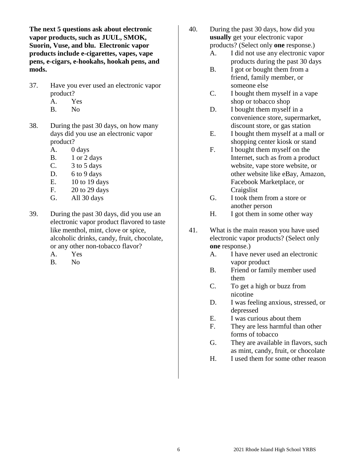**The next 5 questions ask about electronic vapor products, such as JUUL, SMOK, Suorin, Vuse, and blu. Electronic vapor products include e-cigarettes, vapes, vape pens, e-cigars, e-hookahs, hookah pens, and mods.**

- 37. Have you ever used an electronic vapor product? A. Yes
	- B. No
- 38. During the past 30 days, on how many days did you use an electronic vapor product?
	- A. 0 days
	- B. 1 or 2 days
	- C. 3 to 5 days
	- D. 6 to 9 days
	- E. 10 to 19 days
	- F. 20 to 29 days
	- G. All 30 days
- 39. During the past 30 days, did you use an electronic vapor product flavored to taste like menthol, mint, clove or spice, alcoholic drinks, candy, fruit, chocolate, or any other non-tobacco flavor?
	- A. Yes
	- B. No
- 40. During the past 30 days, how did you **usually** get your electronic vapor products? (Select only **one** response.)
	- A. I did not use any electronic vapor products during the past 30 days
	- B. I got or bought them from a friend, family member, or someone else
	- C. I bought them myself in a vape shop or tobacco shop
	- D. I bought them myself in a convenience store, supermarket, discount store, or gas station
	- E. I bought them myself at a mall or shopping center kiosk or stand
	- F. I bought them myself on the Internet, such as from a product website, vape store website, or other website like eBay, Amazon, Facebook Marketplace, or **Craigslist**
	- G. I took them from a store or another person
	- H. I got them in some other way
- 41. What is the main reason you have used electronic vapor products? (Select only **one** response.)
	- A. I have never used an electronic vapor product
	- B. Friend or family member used them
	- C. To get a high or buzz from nicotine
	- D. I was feeling anxious, stressed, or depressed
	- E. I was curious about them
	- F. They are less harmful than other forms of tobacco
	- G. They are available in flavors, such as mint, candy, fruit, or chocolate
	- H. I used them for some other reason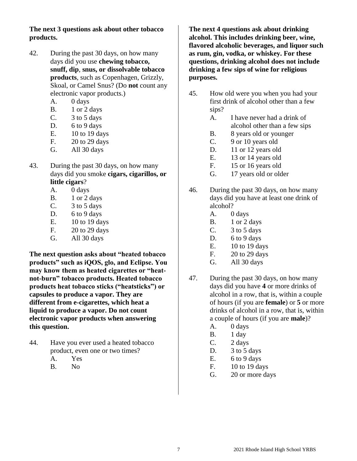## **The next 3 questions ask about other tobacco products.**

- 42. During the past 30 days, on how many days did you use **chewing tobacco, snuff, dip**, **snus, or dissolvable tobacco products**, such as Copenhagen, Grizzly, Skoal, or Camel Snus? (Do **not** count any electronic vapor products.)
	- A. 0 days
	- B. 1 or 2 days
	- C. 3 to 5 days
	- D. 6 to 9 days
	- E. 10 to 19 days
	- F. 20 to 29 days
	- G. All 30 days
- 43. During the past 30 days, on how many days did you smoke **cigars, cigarillos, or little cigars**?
	- A. 0 days
	- B. 1 or 2 days
	- C. 3 to 5 days
	- D. 6 to 9 days
	- E. 10 to 19 days
	- F. 20 to 29 days
	- G. All 30 days

**The next question asks about "heated tobacco products" such as iQOS, glo, and Eclipse. You may know them as heated cigarettes or "heatnot-burn" tobacco products. Heated tobacco products heat tobacco sticks ("heatsticks") or capsules to produce a vapor. They are different from e-cigarettes, which heat a liquid to produce a vapor. Do not count electronic vapor products when answering this question.**

- 44. Have you ever used a heated tobacco product, even one or two times?
	- A. Yes
	- B. No

**The next 4 questions ask about drinking alcohol. This includes drinking beer, wine, flavored alcoholic beverages, and liquor such as rum, gin, vodka, or whiskey. For these questions, drinking alcohol does not include drinking a few sips of wine for religious purposes.**

- 45. How old were you when you had your first drink of alcohol other than a few sips?
	- A. I have never had a drink of alcohol other than a few sips
	- B. 8 years old or younger
	- C. 9 or 10 years old
	- D. 11 or 12 years old
	- E. 13 or 14 years old
	- F. 15 or 16 years old
	- G. 17 years old or older
- 46. During the past 30 days, on how many days did you have at least one drink of alcohol?
	- A. 0 days
	- B. 1 or 2 days
	- C. 3 to 5 days
	- D.  $6$  to  $9$  days
	- E. 10 to 19 days
	- F. 20 to 29 days
	- G. All 30 days
- 47. During the past 30 days, on how many days did you have **4** or more drinks of alcohol in a row, that is, within a couple of hours (if you are **female**) or **5** or more drinks of alcohol in a row, that is, within a couple of hours (if you are **male**)?
	- A. 0 days
	- B. 1 day
	- C. 2 days
	- D.  $3$  to 5 days
	- E.  $6 to 9 days$
	- F. 10 to 19 days
	- G. 20 or more days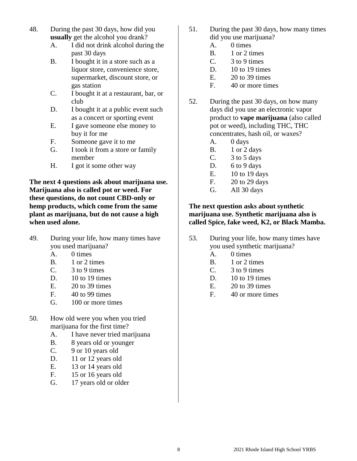- 48. During the past 30 days, how did you **usually** get the alcohol you drank?
	- A. I did not drink alcohol during the past 30 days
	- B. I bought it in a store such as a liquor store, convenience store, supermarket, discount store, or gas station
	- C. I bought it at a restaurant, bar, or club
	- D. I bought it at a public event such as a concert or sporting event
	- E. I gave someone else money to buy it for me
	- F. Someone gave it to me
	- G. I took it from a store or family member
	- H. I got it some other way

**The next 4 questions ask about marijuana use. Marijuana also is called pot or weed. For these questions, do not count CBD-only or hemp products, which come from the same plant as marijuana, but do not cause a high when used alone.**

- 49. During your life, how many times have you used marijuana?
	- A. 0 times
	- B. 1 or 2 times
	- C. 3 to 9 times
	- D.  $10$  to 19 times
	- E. 20 to 39 times
	- F. 40 to 99 times
	- G. 100 or more times
- 50. How old were you when you tried marijuana for the first time?
	- A. I have never tried marijuana
	- B. 8 years old or younger
	- C. 9 or 10 years old
	- D. 11 or 12 years old
	- E. 13 or 14 years old
	- F. 15 or 16 years old
	- G. 17 years old or older
- 51. During the past 30 days, how many times did you use marijuana?
	- A. 0 times
	- B. 1 or 2 times
	- $C.$  3 to 9 times
	- D.  $10$  to 19 times
	- E. 20 to 39 times
	- F. 40 or more times
- 52. During the past 30 days, on how many days did you use an electronic vapor product to **vape marijuana** (also called pot or weed), including THC, THC concentrates, hash oil, or waxes?
	- A. 0 days
	- B. 1 or 2 days
	- C.  $3 \text{ to } 5 \text{ days}$
	- D. 6 to 9 days
	- E. 10 to 19 days
	- F. 20 to 29 days
	- G. All 30 days

## **The next question asks about synthetic marijuana use. Synthetic marijuana also is called Spice, fake weed, K2, or Black Mamba.**

- 53. During your life, how many times have you used synthetic marijuana?
	- A. 0 times
	- B. 1 or 2 times
	- C. 3 to 9 times
	- D.  $10$  to 19 times
	- E. 20 to 39 times
	- F. 40 or more times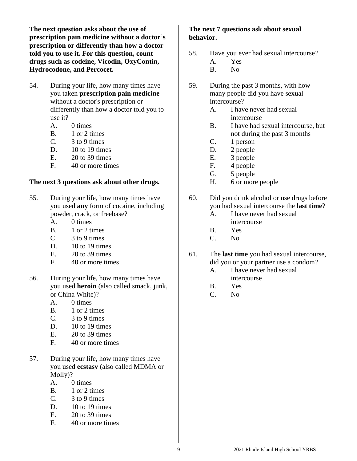**The next question asks about the use of prescription pain medicine without a doctor**'**s prescription or differently than how a doctor told you to use it. For this question, count drugs such as codeine, Vicodin, OxyContin, Hydrocodone, and Percocet.**

- 54. During your life, how many times have you taken **prescription pain medicine** without a doctor's prescription or differently than how a doctor told you to use it?
	- A. 0 times
	- B. 1 or 2 times
	- C. 3 to 9 times
	- D. 10 to 19 times
	- E. 20 to 39 times
	- F. 40 or more times

#### **The next 3 questions ask about other drugs.**

- 55. During your life, how many times have you used **any** form of cocaine, including powder, crack, or freebase?
	- A. 0 times
	- B. 1 or 2 times
	- $C.$  3 to 9 times
	- D.  $10$  to 19 times
	- $E = 20$  to 39 times
	- F. 40 or more times
- 56. During your life, how many times have you used **heroin** (also called smack, junk, or China White)?
	- A. 0 times
	- B. 1 or 2 times
	- $C.$  3 to 9 times
	- D. 10 to 19 times
	- E. 20 to 39 times
	- F. 40 or more times
- 57. During your life, how many times have you used **ecstasy** (also called MDMA or Molly)?
	- A. 0 times
	- B. 1 or 2 times
	- $C.$  3 to 9 times
	- D. 10 to 19 times
	- $E = 20$  to 39 times
	- F. 40 or more times

### **The next 7 questions ask about sexual behavior.**

- 58. Have you ever had sexual intercourse?
	- A. Yes B. No
	-
- 59. During the past 3 months, with how many people did you have sexual intercourse?
	- A. I have never had sexual intercourse
	- B. I have had sexual intercourse, but not during the past 3 months
	- C. 1 person
	- D. 2 people
	- E. 3 people
	- F. 4 people
	- G. 5 people
	- H. 6 or more people
- 60. Did you drink alcohol or use drugs before you had sexual intercourse the **last time**?
	- A. I have never had sexual intercourse
	- B. Yes
	- C. No
- 61. The **last time** you had sexual intercourse, did you or your partner use a condom?
	- A. I have never had sexual intercourse
	- B. Yes
	- C. No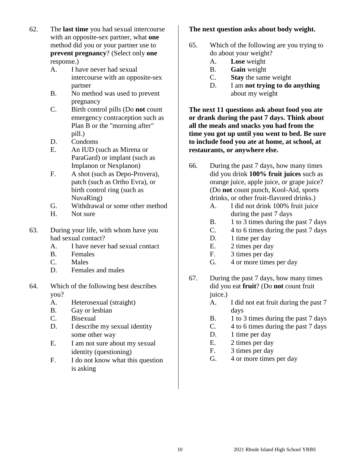- 62. The **last time** you had sexual intercourse with an opposite-sex partner, what **one** method did you or your partner use to **prevent pregnancy**? (Select only **one**  response.)
	- A. I have never had sexual intercourse with an opposite-sex partner
	- B. No method was used to prevent pregnancy
	- C. Birth control pills (Do **not** count emergency contraception such as Plan B or the "morning after" pill.)
	- D. Condoms
	- E. An IUD (such as Mirena or ParaGard) or implant (such as Implanon or Nexplanon)
	- F. A shot (such as Depo-Provera), patch (such as Ortho Evra), or birth control ring (such as NuvaRing)
	- G. Withdrawal or some other method
	- H. Not sure
- 63. During your life, with whom have you had sexual contact?
	- A. I have never had sexual contact
	- B. Females
	- C. Males
	- D. Females and males
- 64. Which of the following best describes you?
	- A. Heterosexual (straight)
	- B. Gay or lesbian
	- C. Bisexual
	- D. I describe my sexual identity some other way
	- E. I am not sure about my sexual identity (questioning)
	- F. I do not know what this question is asking

## **The next question asks about body weight.**

- 65. Which of the following are you trying to do about your weight?
	- A. **Lose** weight
	- B. **Gain** weight
	- C. **Stay** the same weight
	- D. I am **not trying to do anything** about my weight

**The next 11 questions ask about food you ate or drank during the past 7 days. Think about all the meals and snacks you had from the time you got up until you went to bed. Be sure to include food you ate at home, at school, at restaurants, or anywhere else.**

- 66. During the past 7 days, how many times did you drink **100% fruit juices** such as orange juice, apple juice, or grape juice? (Do **not** count punch, Kool-Aid, sports drinks, or other fruit-flavored drinks.)
	- A. I did not drink 100% fruit juice during the past 7 days
	- B. 1 to 3 times during the past 7 days
	- C. 4 to 6 times during the past 7 days
	- D. 1 time per day
	- E. 2 times per day
	- F. 3 times per day
	- G. 4 or more times per day
- 67. During the past 7 days, how many times did you eat **fruit**? (Do **not** count fruit juice.)
	- A. I did not eat fruit during the past 7 days
	- B. 1 to 3 times during the past 7 days
	- C. 4 to 6 times during the past 7 days
	- D. 1 time per day
	- E. 2 times per day
	- F. 3 times per day
	- G. 4 or more times per day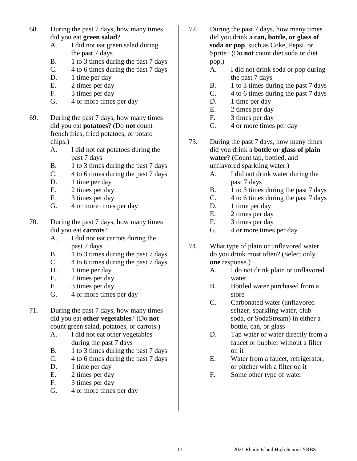- 68. During the past 7 days, how many times did you eat **green salad**?
	- A. I did not eat green salad during the past 7 days
	- B. 1 to 3 times during the past 7 days
	- C. 4 to 6 times during the past 7 days
	- D. 1 time per day
	- E. 2 times per day
	- F. 3 times per day
	- G. 4 or more times per day
- 69. During the past 7 days, how many times did you eat **potatoes**? (Do **not** count french fries, fried potatoes, or potato chips.)
	- A. I did not eat potatoes during the past 7 days
	- B. 1 to 3 times during the past 7 days
	- C. 4 to 6 times during the past 7 days
	- D. 1 time per day
	- E. 2 times per day
	- F. 3 times per day
	- G. 4 or more times per day
- 70. During the past 7 days, how many times did you eat **carrots**?
	- A. I did not eat carrots during the past 7 days
	- B. 1 to 3 times during the past 7 days
	- C. 4 to 6 times during the past 7 days
	- D. 1 time per day
	- E. 2 times per day
	- F. 3 times per day
	- G. 4 or more times per day
- 71. During the past 7 days, how many times did you eat **other vegetables**? (Do **not** count green salad, potatoes, or carrots.)
	- A. I did not eat other vegetables during the past 7 days
	- B. 1 to 3 times during the past 7 days
	- C. 4 to 6 times during the past 7 days
	- D. 1 time per day
	- E. 2 times per day
	- F. 3 times per day
	- G. 4 or more times per day
- 72. During the past 7 days, how many times did you drink a **can, bottle, or glass of soda or pop**, such as Coke, Pepsi, or Sprite? (Do **not** count diet soda or diet pop.)
	- A. I did not drink soda or pop during the past 7 days
	- B. 1 to 3 times during the past 7 days
	- C. 4 to 6 times during the past 7 days
	- D. 1 time per day
	- E. 2 times per day
	- F. 3 times per day
	- G. 4 or more times per day
- 73. During the past 7 days, how many times did you drink a **bottle or glass of plain water**? (Count tap, bottled, and unflavored sparkling water.)
	- A. I did not drink water during the past 7 days
	- B. 1 to 3 times during the past 7 days
	- C. 4 to 6 times during the past 7 days
	- D. 1 time per day
	- E. 2 times per day
	- F. 3 times per day
	- G. 4 or more times per day
- 74. What type of plain or unflavored water do you drink most often? (Select only **one** response.)
	- A. I do not drink plain or unflavored water
	- B. Bottled water purchased from a store
	- C. Carbonated water (unflavored seltzer, sparkling water, club soda, or SodaStream) in either a bottle, can, or glass
	- D. Tap water or water directly from a faucet or bubbler without a filter on it
	- E. Water from a faucet, refrigerator, or pitcher with a filter on it
	- F. Some other type of water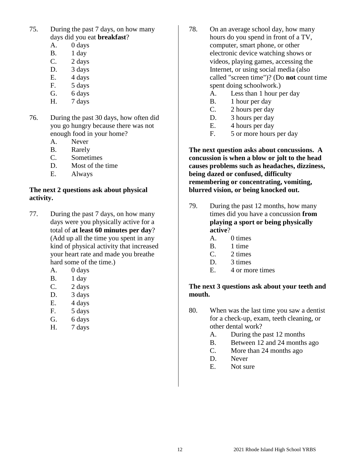- 75. During the past 7 days, on how many days did you eat **breakfast**?
	- A. 0 days
	- B. 1 day
	- $C.$  2 days
	- D. 3 days
	- E. 4 days
	- F. 5 days
	- G. 6 days
	- H. 7 days
- 76. During the past 30 days, how often did you go hungry because there was not enough food in your home?
	- A. Never
	- B. Rarely
	- C. Sometimes
	- D. Most of the time
	- E. Always

## **The next 2 questions ask about physical activity.**

- 77. During the past 7 days, on how many days were you physically active for a total of **at least 60 minutes per day**? (Add up all the time you spent in any kind of physical activity that increased your heart rate and made you breathe hard some of the time.)
	- A. 0 days
	- B. 1 day
	- C. 2 days
	- D. 3 days
	- E. 4 days
	- F. 5 days
	- G. 6 days
	- H. 7 days
- 78. On an average school day, how many hours do you spend in front of a TV, computer, smart phone, or other electronic device watching shows or videos, playing games, accessing the Internet, or using social media (also called "screen time")? (Do **not** count time spent doing schoolwork.)
	- A. Less than 1 hour per day
	- B. 1 hour per day
	- C. 2 hours per day
	- D. 3 hours per day
	- E. 4 hours per day
	- F. 5 or more hours per day

**The next question asks about concussions. A concussion is when a blow or jolt to the head causes problems such as headaches, dizziness, being dazed or confused, difficulty remembering or concentrating, vomiting, blurred vision, or being knocked out.**

- 79. During the past 12 months, how many times did you have a concussion **from playing a sport or being physically active**?
	- A. 0 times
	- B. 1 time
	- C. 2 times
	- D. 3 times
	- E. 4 or more times

## **The next 3 questions ask about your teeth and mouth.**

- 80. When was the last time you saw a dentist for a check-up, exam, teeth cleaning, or other dental work?
	- A. During the past 12 months
	- B. Between 12 and 24 months ago
	- C. More than 24 months ago
	- D. Never
	- E. Not sure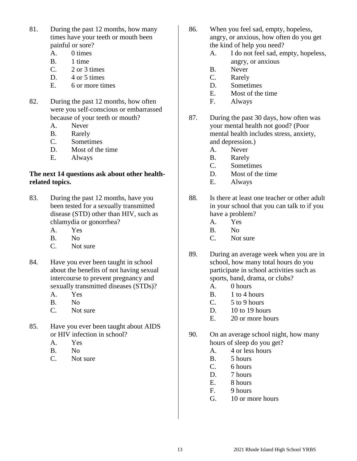- 81. During the past 12 months, how many times have your teeth or mouth been painful or sore?
	- A. 0 times
	- B. 1 time
	- C. 2 or 3 times
	- D. 4 or 5 times
	- E. 6 or more times
- 82. During the past 12 months, how often were you self-conscious or embarrassed because of your teeth or mouth?
	- A. Never
	- B. Rarely
	- C. Sometimes
	- D. Most of the time
	- E. Always

#### **The next 14 questions ask about other healthrelated topics.**

- 83. During the past 12 months, have you been tested for a sexually transmitted disease (STD) other than HIV, such as chlamydia or gonorrhea?
	- A. Yes
	- B. No
	- C. Not sure
- 84. Have you ever been taught in school about the benefits of not having sexual intercourse to prevent pregnancy and sexually transmitted diseases (STDs)?
	- A. Yes
	- B. No
	- C. Not sure
- 85. Have you ever been taught about AIDS or HIV infection in school?
	- A. Yes
	- B. No
	- C. Not sure
- 86. When you feel sad, empty, hopeless, angry, or anxious, how often do you get the kind of help you need?
	- A. I do not feel sad, empty, hopeless, angry, or anxious
	- B. Never
	- C. Rarely
	- D. Sometimes
	- E. Most of the time
	- F. Always
- 87. During the past 30 days, how often was your mental health not good? (Poor mental health includes stress, anxiety, and depression.)
	- A. Never
	- B. Rarely
	- C. Sometimes
	- D. Most of the time
	- E. Always
- 88. Is there at least one teacher or other adult in your school that you can talk to if you have a problem?
	- A. Yes
	- B. No
	- C. Not sure
- 89. During an average week when you are in school, how many total hours do you participate in school activities such as sports, band, drama, or clubs?
	- A. 0 hours
	- B. 1 to 4 hours
	- C. 5 to 9 hours
	- D. 10 to 19 hours
	- E. 20 or more hours
- 90. On an average school night, how many hours of sleep do you get?
	- A. 4 or less hours
	- B. 5 hours
	- C. 6 hours
	- D. 7 hours
	- E. 8 hours
	- F. 9 hours
	- G. 10 or more hours